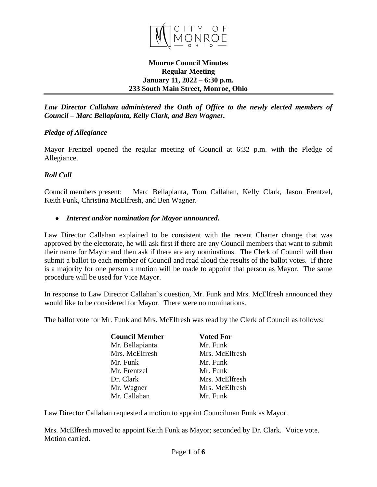

## **Monroe Council Minutes Regular Meeting January 11, 2022 – 6:30 p.m. 233 South Main Street, Monroe, Ohio**

*Law Director Callahan administered the Oath of Office to the newly elected members of Council – Marc Bellapianta, Kelly Clark, and Ben Wagner.*

# *Pledge of Allegiance*

Mayor Frentzel opened the regular meeting of Council at 6:32 p.m. with the Pledge of Allegiance.

# *Roll Call*

Council members present: Marc Bellapianta, Tom Callahan, Kelly Clark, Jason Frentzel, Keith Funk, Christina McElfresh, and Ben Wagner.

## *Interest and/or nomination for Mayor announced.*

Law Director Callahan explained to be consistent with the recent Charter change that was approved by the electorate, he will ask first if there are any Council members that want to submit their name for Mayor and then ask if there are any nominations. The Clerk of Council will then submit a ballot to each member of Council and read aloud the results of the ballot votes. If there is a majority for one person a motion will be made to appoint that person as Mayor. The same procedure will be used for Vice Mayor.

In response to Law Director Callahan's question, Mr. Funk and Mrs. McElfresh announced they would like to be considered for Mayor. There were no nominations.

The ballot vote for Mr. Funk and Mrs. McElfresh was read by the Clerk of Council as follows:

| <b>Council Member</b> | <b>Voted For</b> |
|-----------------------|------------------|
| Mr. Bellapianta       | Mr. Funk         |
| Mrs. McElfresh        | Mrs. McElfresh   |
| Mr. Funk              | Mr. Funk         |
| Mr. Frentzel          | Mr. Funk         |
| Dr. Clark             | Mrs. McElfresh   |
| Mr. Wagner            | Mrs. McElfresh   |
| Mr. Callahan          | Mr. Funk         |

Law Director Callahan requested a motion to appoint Councilman Funk as Mayor.

Mrs. McElfresh moved to appoint Keith Funk as Mayor; seconded by Dr. Clark. Voice vote. Motion carried.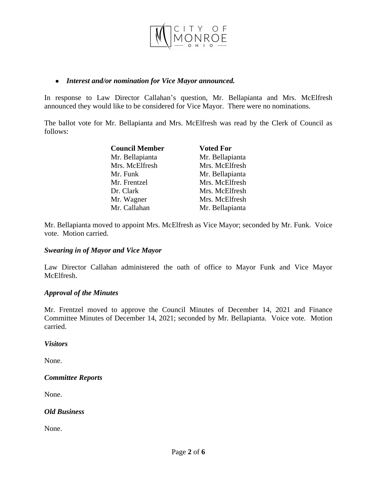

### *Interest and/or nomination for Vice Mayor announced.*

In response to Law Director Callahan's question, Mr. Bellapianta and Mrs. McElfresh announced they would like to be considered for Vice Mayor. There were no nominations.

The ballot vote for Mr. Bellapianta and Mrs. McElfresh was read by the Clerk of Council as follows:

| <b>Council Member</b> | <b>Voted For</b> |
|-----------------------|------------------|
| Mr. Bellapianta       | Mr. Bellapianta  |
| Mrs. McElfresh        | Mrs. McElfresh   |
| Mr. Funk              | Mr. Bellapianta  |
| Mr. Frentzel          | Mrs. McElfresh   |
| Dr. Clark             | Mrs. McElfresh   |
| Mr. Wagner            | Mrs. McElfresh   |
| Mr. Callahan          | Mr. Bellapianta  |

Mr. Bellapianta moved to appoint Mrs. McElfresh as Vice Mayor; seconded by Mr. Funk. Voice vote. Motion carried.

## *Swearing in of Mayor and Vice Mayor*

Law Director Callahan administered the oath of office to Mayor Funk and Vice Mayor McElfresh.

#### *Approval of the Minutes*

Mr. Frentzel moved to approve the Council Minutes of December 14, 2021 and Finance Committee Minutes of December 14, 2021; seconded by Mr. Bellapianta. Voice vote. Motion carried.

*Visitors*

None.

## *Committee Reports*

None.

## *Old Business*

None.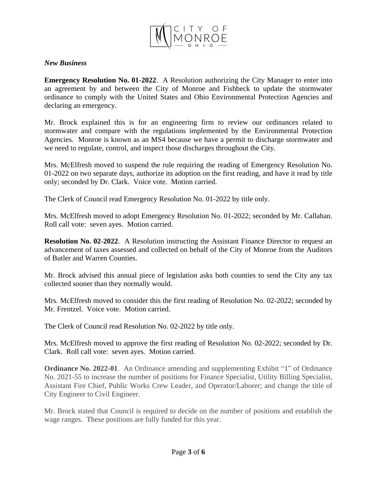

## *New Business*

**Emergency Resolution No. 01-2022**. A Resolution authorizing the City Manager to enter into an agreement by and between the City of Monroe and Fishbeck to update the stormwater ordinance to comply with the United States and Ohio Environmental Protection Agencies and declaring an emergency.

Mr. Brock explained this is for an engineering firm to review our ordinances related to stormwater and compare with the regulations implemented by the Environmental Protection Agencies. Monroe is known as an MS4 because we have a permit to discharge stormwater and we need to regulate, control, and inspect those discharges throughout the City.

Mrs. McElfresh moved to suspend the rule requiring the reading of Emergency Resolution No. 01-2022 on two separate days, authorize its adoption on the first reading, and have it read by title only; seconded by Dr. Clark. Voice vote. Motion carried.

The Clerk of Council read Emergency Resolution No. 01-2022 by title only.

Mrs. McElfresh moved to adopt Emergency Resolution No. 01-2022; seconded by Mr. Callahan. Roll call vote: seven ayes. Motion carried.

**Resolution No. 02-2022**. A Resolution instructing the Assistant Finance Director to request an advancement of taxes assessed and collected on behalf of the City of Monroe from the Auditors of Butler and Warren Counties.

Mr. Brock advised this annual piece of legislation asks both counties to send the City any tax collected sooner than they normally would.

Mrs. McElfresh moved to consider this the first reading of Resolution No. 02-2022; seconded by Mr. Frentzel. Voice vote. Motion carried.

The Clerk of Council read Resolution No. 02-2022 by title only.

Mrs. McElfresh moved to approve the first reading of Resolution No. 02-2022; seconded by Dr. Clark. Roll call vote: seven ayes. Motion carried.

**Ordinance No. 2022-01**. An Ordinance amending and supplementing Exhibit "1" of Ordinance No. 2021-55 to increase the number of positions for Finance Specialist, Utility Billing Specialist, Assistant Fire Chief, Public Works Crew Leader, and Operator/Laborer; and change the title of City Engineer to Civil Engineer.

Mr. Brock stated that Council is required to decide on the number of positions and establish the wage ranges. These positions are fully funded for this year.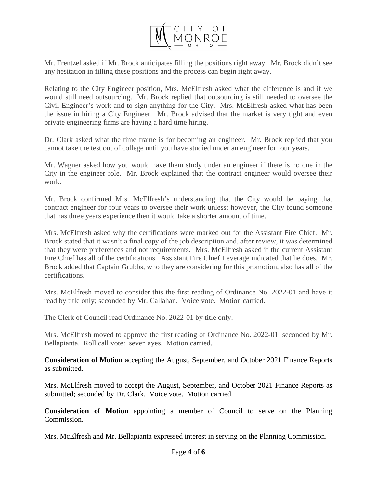

Mr. Frentzel asked if Mr. Brock anticipates filling the positions right away. Mr. Brock didn't see any hesitation in filling these positions and the process can begin right away.

Relating to the City Engineer position, Mrs. McElfresh asked what the difference is and if we would still need outsourcing. Mr. Brock replied that outsourcing is still needed to oversee the Civil Engineer's work and to sign anything for the City. Mrs. McElfresh asked what has been the issue in hiring a City Engineer. Mr. Brock advised that the market is very tight and even private engineering firms are having a hard time hiring.

Dr. Clark asked what the time frame is for becoming an engineer. Mr. Brock replied that you cannot take the test out of college until you have studied under an engineer for four years.

Mr. Wagner asked how you would have them study under an engineer if there is no one in the City in the engineer role. Mr. Brock explained that the contract engineer would oversee their work.

Mr. Brock confirmed Mrs. McElfresh's understanding that the City would be paying that contract engineer for four years to oversee their work unless; however, the City found someone that has three years experience then it would take a shorter amount of time.

Mrs. McElfresh asked why the certifications were marked out for the Assistant Fire Chief. Mr. Brock stated that it wasn't a final copy of the job description and, after review, it was determined that they were preferences and not requirements. Mrs. McElfresh asked if the current Assistant Fire Chief has all of the certifications. Assistant Fire Chief Leverage indicated that he does. Mr. Brock added that Captain Grubbs, who they are considering for this promotion, also has all of the certifications.

Mrs. McElfresh moved to consider this the first reading of Ordinance No. 2022-01 and have it read by title only; seconded by Mr. Callahan. Voice vote. Motion carried.

The Clerk of Council read Ordinance No. 2022-01 by title only.

Mrs. McElfresh moved to approve the first reading of Ordinance No. 2022-01; seconded by Mr. Bellapianta. Roll call vote: seven ayes. Motion carried.

**Consideration of Motion** accepting the August, September, and October 2021 Finance Reports as submitted.

Mrs. McElfresh moved to accept the August, September, and October 2021 Finance Reports as submitted; seconded by Dr. Clark. Voice vote. Motion carried.

**Consideration of Motion** appointing a member of Council to serve on the Planning Commission.

Mrs. McElfresh and Mr. Bellapianta expressed interest in serving on the Planning Commission.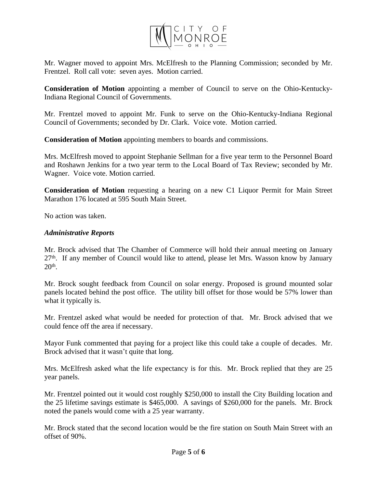

Mr. Wagner moved to appoint Mrs. McElfresh to the Planning Commission; seconded by Mr. Frentzel. Roll call vote: seven ayes. Motion carried.

**Consideration of Motion** appointing a member of Council to serve on the Ohio-Kentucky-Indiana Regional Council of Governments.

Mr. Frentzel moved to appoint Mr. Funk to serve on the Ohio-Kentucky-Indiana Regional Council of Governments; seconded by Dr. Clark. Voice vote. Motion carried.

**Consideration of Motion** appointing members to boards and commissions.

Mrs. McElfresh moved to appoint Stephanie Sellman for a five year term to the Personnel Board and Roshawn Jenkins for a two year term to the Local Board of Tax Review; seconded by Mr. Wagner. Voice vote. Motion carried.

**Consideration of Motion** requesting a hearing on a new C1 Liquor Permit for Main Street Marathon 176 located at 595 South Main Street.

No action was taken.

## *Administrative Reports*

Mr. Brock advised that The Chamber of Commerce will hold their annual meeting on January 27<sup>th</sup>. If any member of Council would like to attend, please let Mrs. Wasson know by January 20th .

Mr. Brock sought feedback from Council on solar energy. Proposed is ground mounted solar panels located behind the post office. The utility bill offset for those would be 57% lower than what it typically is.

Mr. Frentzel asked what would be needed for protection of that. Mr. Brock advised that we could fence off the area if necessary.

Mayor Funk commented that paying for a project like this could take a couple of decades. Mr. Brock advised that it wasn't quite that long.

Mrs. McElfresh asked what the life expectancy is for this. Mr. Brock replied that they are 25 year panels.

Mr. Frentzel pointed out it would cost roughly \$250,000 to install the City Building location and the 25 lifetime savings estimate is \$465,000. A savings of \$260,000 for the panels. Mr. Brock noted the panels would come with a 25 year warranty.

Mr. Brock stated that the second location would be the fire station on South Main Street with an offset of 90%.